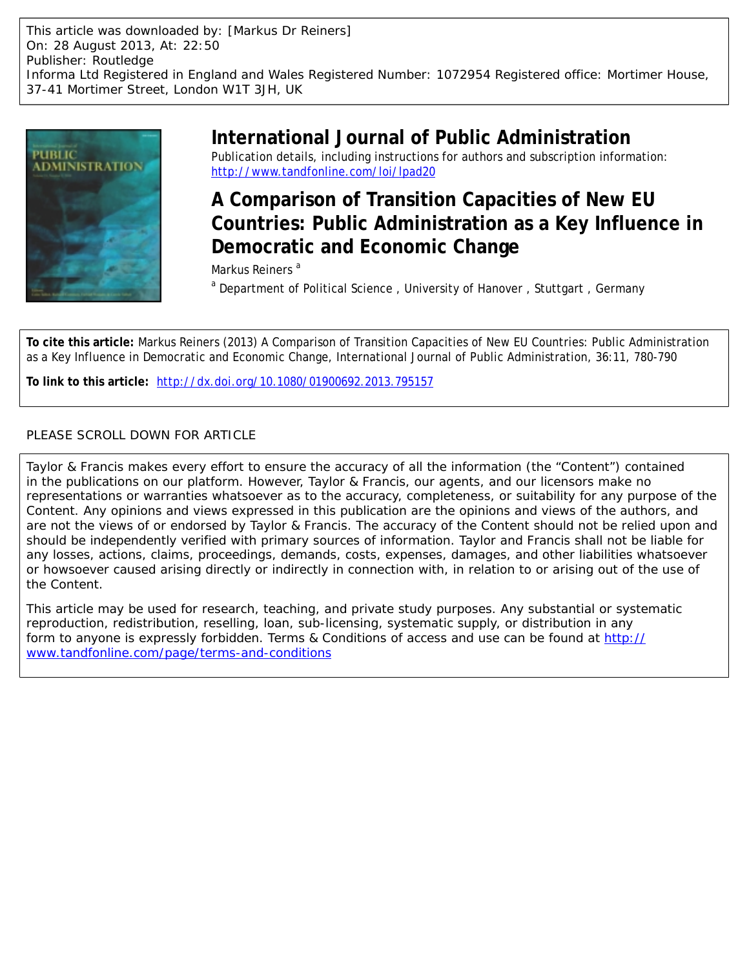This article was downloaded by: [Markus Dr Reiners] On: 28 August 2013, At: 22:50 Publisher: Routledge Informa Ltd Registered in England and Wales Registered Number: 1072954 Registered office: Mortimer House, 37-41 Mortimer Street, London W1T 3JH, UK



**International Journal of Public Administration** Publication details, including instructions for authors and subscription information: <http://www.tandfonline.com/loi/lpad20>

**A Comparison of Transition Capacities of New EU Countries: Public Administration as a Key Influence in Democratic and Economic Change**

Markus Reiners<sup>a</sup>

<sup>a</sup> Department of Political Science, University of Hanover, Stuttgart, Germany

**To cite this article:** Markus Reiners (2013) A Comparison of Transition Capacities of New EU Countries: Public Administration as a Key Influence in Democratic and Economic Change, International Journal of Public Administration, 36:11, 780-790

**To link to this article:** <http://dx.doi.org/10.1080/01900692.2013.795157>

## PLEASE SCROLL DOWN FOR ARTICLE

Taylor & Francis makes every effort to ensure the accuracy of all the information (the "Content") contained in the publications on our platform. However, Taylor & Francis, our agents, and our licensors make no representations or warranties whatsoever as to the accuracy, completeness, or suitability for any purpose of the Content. Any opinions and views expressed in this publication are the opinions and views of the authors, and are not the views of or endorsed by Taylor & Francis. The accuracy of the Content should not be relied upon and should be independently verified with primary sources of information. Taylor and Francis shall not be liable for any losses, actions, claims, proceedings, demands, costs, expenses, damages, and other liabilities whatsoever or howsoever caused arising directly or indirectly in connection with, in relation to or arising out of the use of the Content.

This article may be used for research, teaching, and private study purposes. Any substantial or systematic reproduction, redistribution, reselling, loan, sub-licensing, systematic supply, or distribution in any form to anyone is expressly forbidden. Terms & Conditions of access and use can be found at [http://](http://www.tandfonline.com/page/terms-and-conditions) [www.tandfonline.com/page/terms-and-conditions](http://www.tandfonline.com/page/terms-and-conditions)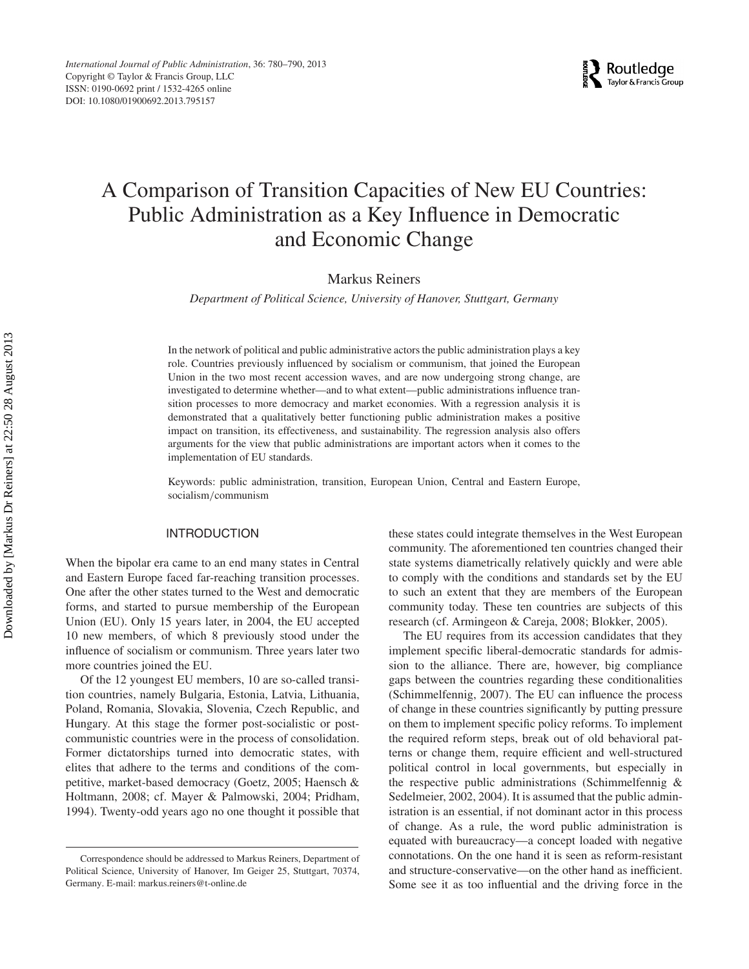

# A Comparison of Transition Capacities of New EU Countries: Public Administration as a Key Influence in Democratic and Economic Change

Markus Reiners

*Department of Political Science, University of Hanover, Stuttgart, Germany*

In the network of political and public administrative actors the public administration plays a key role. Countries previously influenced by socialism or communism, that joined the European Union in the two most recent accession waves, and are now undergoing strong change, are investigated to determine whether—and to what extent—public administrations influence transition processes to more democracy and market economies. With a regression analysis it is demonstrated that a qualitatively better functioning public administration makes a positive impact on transition, its effectiveness, and sustainability. The regression analysis also offers arguments for the view that public administrations are important actors when it comes to the implementation of EU standards.

Keywords: public administration, transition, European Union, Central and Eastern Europe, socialism*/*communism

#### INTRODUCTION

When the bipolar era came to an end many states in Central and Eastern Europe faced far-reaching transition processes. One after the other states turned to the West and democratic forms, and started to pursue membership of the European Union (EU). Only 15 years later, in 2004, the EU accepted 10 new members, of which 8 previously stood under the influence of socialism or communism. Three years later two more countries joined the EU.

Of the 12 youngest EU members, 10 are so-called transition countries, namely Bulgaria, Estonia, Latvia, Lithuania, Poland, Romania, Slovakia, Slovenia, Czech Republic, and Hungary. At this stage the former post-socialistic or postcommunistic countries were in the process of consolidation. Former dictatorships turned into democratic states, with elites that adhere to the terms and conditions of the competitive, market-based democracy (Goetz, 2005; Haensch & Holtmann, 2008; cf. Mayer & Palmowski, 2004; Pridham, 1994). Twenty-odd years ago no one thought it possible that these states could integrate themselves in the West European community. The aforementioned ten countries changed their state systems diametrically relatively quickly and were able to comply with the conditions and standards set by the EU to such an extent that they are members of the European community today. These ten countries are subjects of this research (cf. Armingeon & Careja, 2008; Blokker, 2005).

The EU requires from its accession candidates that they implement specific liberal-democratic standards for admission to the alliance. There are, however, big compliance gaps between the countries regarding these conditionalities (Schimmelfennig, 2007). The EU can influence the process of change in these countries significantly by putting pressure on them to implement specific policy reforms. To implement the required reform steps, break out of old behavioral patterns or change them, require efficient and well-structured political control in local governments, but especially in the respective public administrations (Schimmelfennig & Sedelmeier, 2002, 2004). It is assumed that the public administration is an essential, if not dominant actor in this process of change. As a rule, the word public administration is equated with bureaucracy—a concept loaded with negative connotations. On the one hand it is seen as reform-resistant and structure-conservative—on the other hand as inefficient. Some see it as too influential and the driving force in the

Correspondence should be addressed to Markus Reiners, Department of Political Science, University of Hanover, Im Geiger 25, Stuttgart, 70374, Germany. E-mail: markus.reiners@t-online.de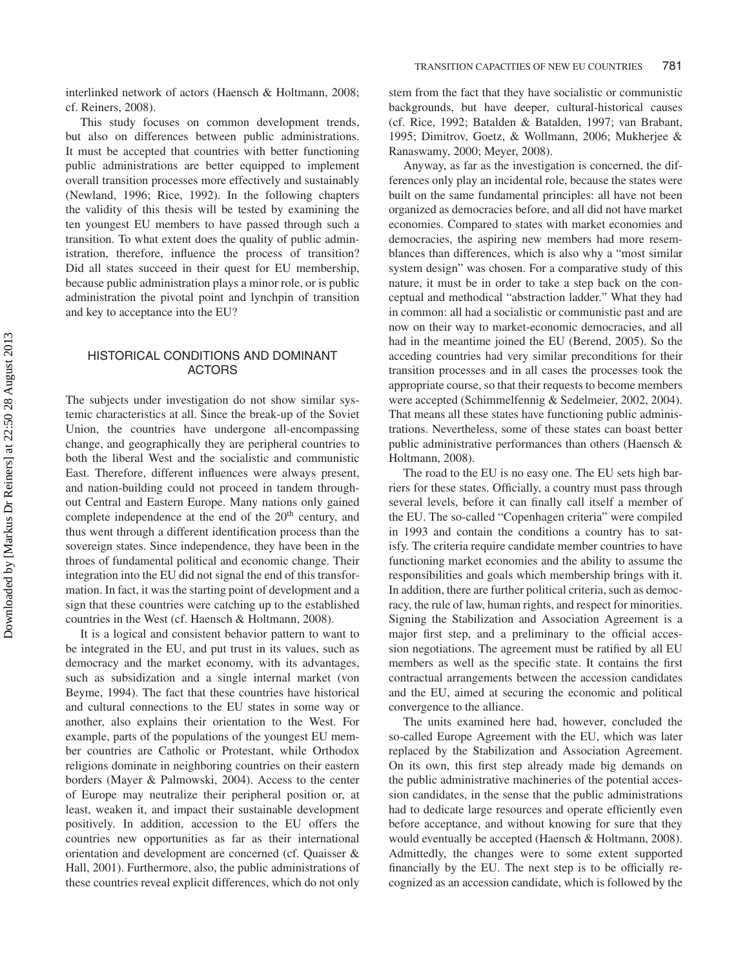interlinked network of actors (Haensch & Holtmann, 2008; cf. Reiners, 2008).

This study focuses on common development trends, but also on differences between public administrations. It must be accepted that countries with better functioning public administrations are better equipped to implement overall transition processes more effectively and sustainably (Newland, 1996; Rice, 1992). In the following chapters the validity of this thesis will be tested by examining the ten youngest EU members to have passed through such a transition. To what extent does the quality of public administration, therefore, influence the process of transition? Did all states succeed in their quest for EU membership, because public administration plays a minor role, or is public administration the pivotal point and lynchpin of transition and key to acceptance into the EU?

## HISTORICAL CONDITIONS AND DOMINANT ACTORS

The subjects under investigation do not show similar systemic characteristics at all. Since the break-up of the Soviet Union, the countries have undergone all-encompassing change, and geographically they are peripheral countries to both the liberal West and the socialistic and communistic East. Therefore, different influences were always present, and nation-building could not proceed in tandem throughout Central and Eastern Europe. Many nations only gained complete independence at the end of the 20<sup>th</sup> century, and thus went through a different identification process than the sovereign states. Since independence, they have been in the throes of fundamental political and economic change. Their integration into the EU did not signal the end of this transformation. In fact, it was the starting point of development and a sign that these countries were catching up to the established countries in the West (cf. Haensch & Holtmann, 2008).

It is a logical and consistent behavior pattern to want to be integrated in the EU, and put trust in its values, such as democracy and the market economy, with its advantages, such as subsidization and a single internal market (von Beyme, 1994). The fact that these countries have historical and cultural connections to the EU states in some way or another, also explains their orientation to the West. For example, parts of the populations of the youngest EU member countries are Catholic or Protestant, while Orthodox religions dominate in neighboring countries on their eastern borders (Mayer & Palmowski, 2004). Access to the center of Europe may neutralize their peripheral position or, at least, weaken it, and impact their sustainable development positively. In addition, accession to the EU offers the countries new opportunities as far as their international orientation and development are concerned (cf. Quaisser & Hall, 2001). Furthermore, also, the public administrations of these countries reveal explicit differences, which do not only stem from the fact that they have socialistic or communistic backgrounds, but have deeper, cultural-historical causes (cf. Rice, 1992; Batalden & Batalden, 1997; van Brabant, 1995; Dimitrov, Goetz, & Wollmann, 2006; Mukherjee & Ranaswamy, 2000; Meyer, 2008).

Anyway, as far as the investigation is concerned, the differences only play an incidental role, because the states were built on the same fundamental principles: all have not been organized as democracies before, and all did not have market economies. Compared to states with market economies and democracies, the aspiring new members had more resemblances than differences, which is also why a "most similar system design" was chosen. For a comparative study of this nature, it must be in order to take a step back on the conceptual and methodical "abstraction ladder." What they had in common: all had a socialistic or communistic past and are now on their way to market-economic democracies, and all had in the meantime joined the EU (Berend, 2005). So the acceding countries had very similar preconditions for their transition processes and in all cases the processes took the appropriate course, so that their requests to become members were accepted (Schimmelfennig & Sedelmeier, 2002, 2004). That means all these states have functioning public administrations. Nevertheless, some of these states can boast better public administrative performances than others (Haensch & Holtmann, 2008).

The road to the EU is no easy one. The EU sets high barriers for these states. Officially, a country must pass through several levels, before it can finally call itself a member of the EU. The so-called "Copenhagen criteria" were compiled in 1993 and contain the conditions a country has to satisfy. The criteria require candidate member countries to have functioning market economies and the ability to assume the responsibilities and goals which membership brings with it. In addition, there are further political criteria, such as democracy, the rule of law, human rights, and respect for minorities. Signing the Stabilization and Association Agreement is a major first step, and a preliminary to the official accession negotiations. The agreement must be ratified by all EU members as well as the specific state. It contains the first contractual arrangements between the accession candidates and the EU, aimed at securing the economic and political convergence to the alliance.

The units examined here had, however, concluded the so-called Europe Agreement with the EU, which was later replaced by the Stabilization and Association Agreement. On its own, this first step already made big demands on the public administrative machineries of the potential accession candidates, in the sense that the public administrations had to dedicate large resources and operate efficiently even before acceptance, and without knowing for sure that they would eventually be accepted (Haensch & Holtmann, 2008). Admittedly, the changes were to some extent supported financially by the EU. The next step is to be officially recognized as an accession candidate, which is followed by the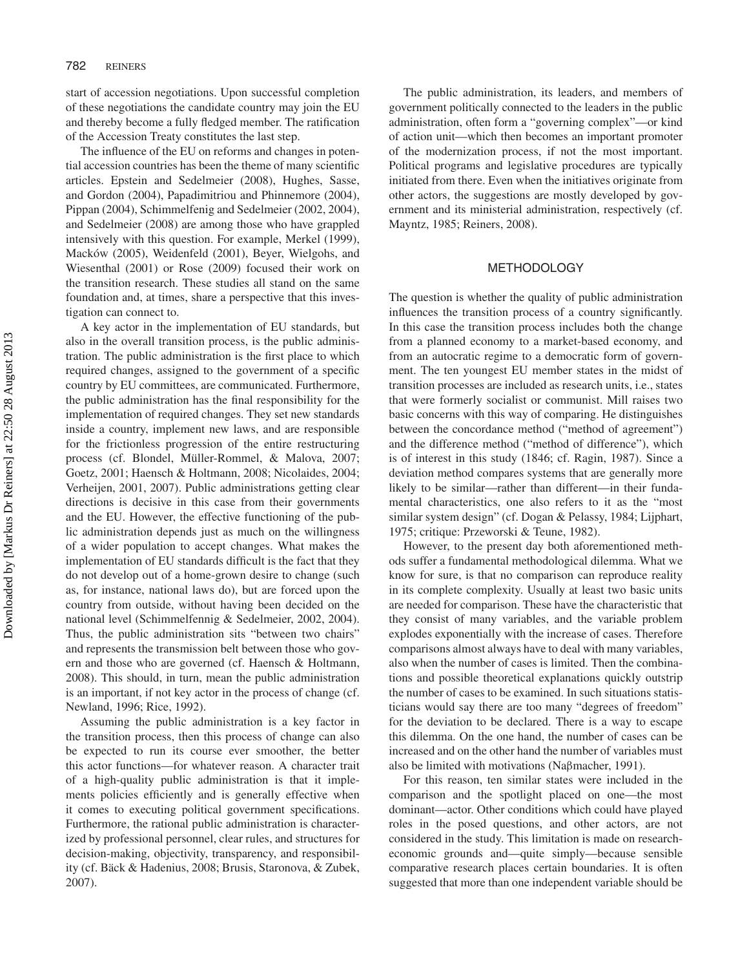start of accession negotiations. Upon successful completion of these negotiations the candidate country may join the EU and thereby become a fully fledged member. The ratification of the Accession Treaty constitutes the last step.

The influence of the EU on reforms and changes in potential accession countries has been the theme of many scientific articles. Epstein and Sedelmeier (2008), Hughes, Sasse, and Gordon (2004), Papadimitriou and Phinnemore (2004), Pippan (2004), Schimmelfenig and Sedelmeier (2002, 2004), and Sedelmeier (2008) are among those who have grappled intensively with this question. For example, Merkel (1999), Macków (2005), Weidenfeld (2001), Beyer, Wielgohs, and Wiesenthal (2001) or Rose (2009) focused their work on the transition research. These studies all stand on the same foundation and, at times, share a perspective that this investigation can connect to.

A key actor in the implementation of EU standards, but also in the overall transition process, is the public administration. The public administration is the first place to which required changes, assigned to the government of a specific country by EU committees, are communicated. Furthermore, the public administration has the final responsibility for the implementation of required changes. They set new standards inside a country, implement new laws, and are responsible for the frictionless progression of the entire restructuring process (cf. Blondel, Müller-Rommel, & Malova, 2007; Goetz, 2001; Haensch & Holtmann, 2008; Nicolaides, 2004; Verheijen, 2001, 2007). Public administrations getting clear directions is decisive in this case from their governments and the EU. However, the effective functioning of the public administration depends just as much on the willingness of a wider population to accept changes. What makes the implementation of EU standards difficult is the fact that they do not develop out of a home-grown desire to change (such as, for instance, national laws do), but are forced upon the country from outside, without having been decided on the national level (Schimmelfennig & Sedelmeier, 2002, 2004). Thus, the public administration sits "between two chairs" and represents the transmission belt between those who govern and those who are governed (cf. Haensch & Holtmann, 2008). This should, in turn, mean the public administration is an important, if not key actor in the process of change (cf. Newland, 1996; Rice, 1992).

Assuming the public administration is a key factor in the transition process, then this process of change can also be expected to run its course ever smoother, the better this actor functions—for whatever reason. A character trait of a high-quality public administration is that it implements policies efficiently and is generally effective when it comes to executing political government specifications. Furthermore, the rational public administration is characterized by professional personnel, clear rules, and structures for decision-making, objectivity, transparency, and responsibility (cf. Bäck & Hadenius, 2008; Brusis, Staronova, & Zubek, 2007).

The public administration, its leaders, and members of government politically connected to the leaders in the public administration, often form a "governing complex"—or kind of action unit—which then becomes an important promoter of the modernization process, if not the most important. Political programs and legislative procedures are typically initiated from there. Even when the initiatives originate from other actors, the suggestions are mostly developed by government and its ministerial administration, respectively (cf. Mayntz, 1985; Reiners, 2008).

#### **METHODOLOGY**

The question is whether the quality of public administration influences the transition process of a country significantly. In this case the transition process includes both the change from a planned economy to a market-based economy, and from an autocratic regime to a democratic form of government. The ten youngest EU member states in the midst of transition processes are included as research units, i.e., states that were formerly socialist or communist. Mill raises two basic concerns with this way of comparing. He distinguishes between the concordance method ("method of agreement") and the difference method ("method of difference"), which is of interest in this study (1846; cf. Ragin, 1987). Since a deviation method compares systems that are generally more likely to be similar—rather than different—in their fundamental characteristics, one also refers to it as the "most similar system design" (cf. Dogan & Pelassy, 1984; Lijphart, 1975; critique: Przeworski & Teune, 1982).

However, to the present day both aforementioned methods suffer a fundamental methodological dilemma. What we know for sure, is that no comparison can reproduce reality in its complete complexity. Usually at least two basic units are needed for comparison. These have the characteristic that they consist of many variables, and the variable problem explodes exponentially with the increase of cases. Therefore comparisons almost always have to deal with many variables, also when the number of cases is limited. Then the combinations and possible theoretical explanations quickly outstrip the number of cases to be examined. In such situations statisticians would say there are too many "degrees of freedom" for the deviation to be declared. There is a way to escape this dilemma. On the one hand, the number of cases can be increased and on the other hand the number of variables must also be limited with motivations (Naβmacher, 1991).

For this reason, ten similar states were included in the comparison and the spotlight placed on one—the most dominant—actor. Other conditions which could have played roles in the posed questions, and other actors, are not considered in the study. This limitation is made on researcheconomic grounds and—quite simply—because sensible comparative research places certain boundaries. It is often suggested that more than one independent variable should be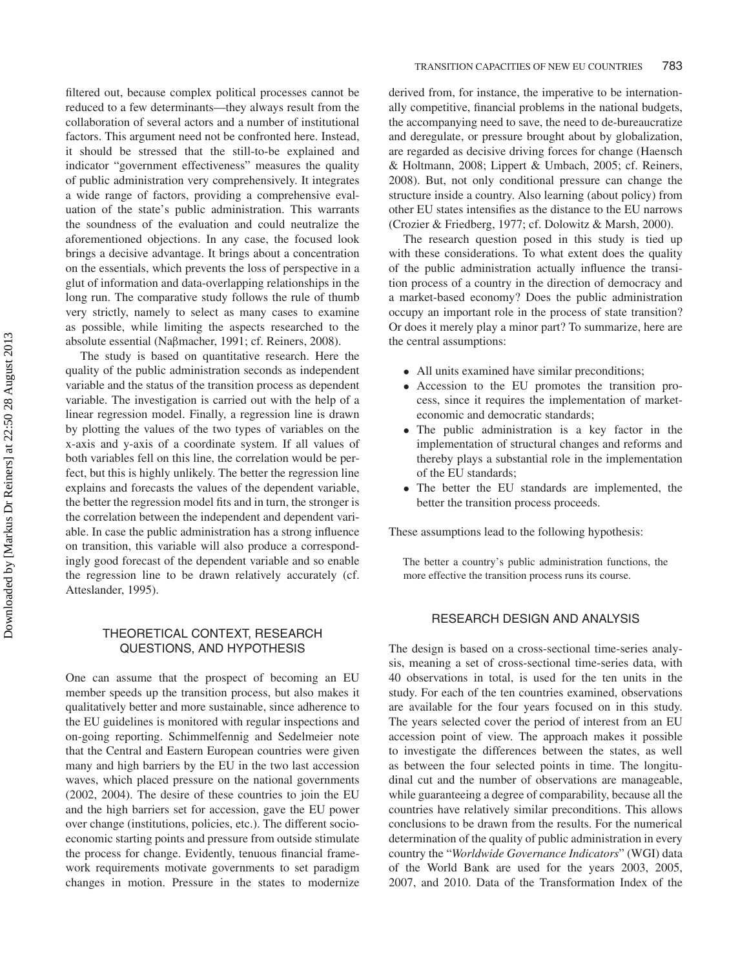filtered out, because complex political processes cannot be reduced to a few determinants—they always result from the collaboration of several actors and a number of institutional factors. This argument need not be confronted here. Instead, it should be stressed that the still-to-be explained and indicator "government effectiveness" measures the quality of public administration very comprehensively. It integrates a wide range of factors, providing a comprehensive evaluation of the state's public administration. This warrants the soundness of the evaluation and could neutralize the aforementioned objections. In any case, the focused look brings a decisive advantage. It brings about a concentration on the essentials, which prevents the loss of perspective in a glut of information and data-overlapping relationships in the long run. The comparative study follows the rule of thumb very strictly, namely to select as many cases to examine as possible, while limiting the aspects researched to the absolute essential (Naβmacher, 1991; cf. Reiners, 2008).

The study is based on quantitative research. Here the quality of the public administration seconds as independent variable and the status of the transition process as dependent variable. The investigation is carried out with the help of a linear regression model. Finally, a regression line is drawn by plotting the values of the two types of variables on the x-axis and y-axis of a coordinate system. If all values of both variables fell on this line, the correlation would be perfect, but this is highly unlikely. The better the regression line explains and forecasts the values of the dependent variable, the better the regression model fits and in turn, the stronger is the correlation between the independent and dependent variable. In case the public administration has a strong influence on transition, this variable will also produce a correspondingly good forecast of the dependent variable and so enable the regression line to be drawn relatively accurately (cf. Atteslander, 1995).

## THEORETICAL CONTEXT, RESEARCH QUESTIONS, AND HYPOTHESIS

One can assume that the prospect of becoming an EU member speeds up the transition process, but also makes it qualitatively better and more sustainable, since adherence to the EU guidelines is monitored with regular inspections and on-going reporting. Schimmelfennig and Sedelmeier note that the Central and Eastern European countries were given many and high barriers by the EU in the two last accession waves, which placed pressure on the national governments (2002, 2004). The desire of these countries to join the EU and the high barriers set for accession, gave the EU power over change (institutions, policies, etc.). The different socioeconomic starting points and pressure from outside stimulate the process for change. Evidently, tenuous financial framework requirements motivate governments to set paradigm changes in motion. Pressure in the states to modernize derived from, for instance, the imperative to be internationally competitive, financial problems in the national budgets, the accompanying need to save, the need to de-bureaucratize and deregulate, or pressure brought about by globalization, are regarded as decisive driving forces for change (Haensch & Holtmann, 2008; Lippert & Umbach, 2005; cf. Reiners, 2008). But, not only conditional pressure can change the structure inside a country. Also learning (about policy) from other EU states intensifies as the distance to the EU narrows (Crozier & Friedberg, 1977; cf. Dolowitz & Marsh, 2000).

The research question posed in this study is tied up with these considerations. To what extent does the quality of the public administration actually influence the transition process of a country in the direction of democracy and a market-based economy? Does the public administration occupy an important role in the process of state transition? Or does it merely play a minor part? To summarize, here are the central assumptions:

- All units examined have similar preconditions;
- Accession to the EU promotes the transition process, since it requires the implementation of marketeconomic and democratic standards;
- The public administration is a key factor in the implementation of structural changes and reforms and thereby plays a substantial role in the implementation of the EU standards;
- The better the EU standards are implemented, the better the transition process proceeds.

These assumptions lead to the following hypothesis:

The better a country's public administration functions, the more effective the transition process runs its course.

## RESEARCH DESIGN AND ANALYSIS

The design is based on a cross-sectional time-series analysis, meaning a set of cross-sectional time-series data, with 40 observations in total, is used for the ten units in the study. For each of the ten countries examined, observations are available for the four years focused on in this study. The years selected cover the period of interest from an EU accession point of view. The approach makes it possible to investigate the differences between the states, as well as between the four selected points in time. The longitudinal cut and the number of observations are manageable, while guaranteeing a degree of comparability, because all the countries have relatively similar preconditions. This allows conclusions to be drawn from the results. For the numerical determination of the quality of public administration in every country the "*Worldwide Governance Indicators*" (WGI) data of the World Bank are used for the years 2003, 2005, 2007, and 2010. Data of the Transformation Index of the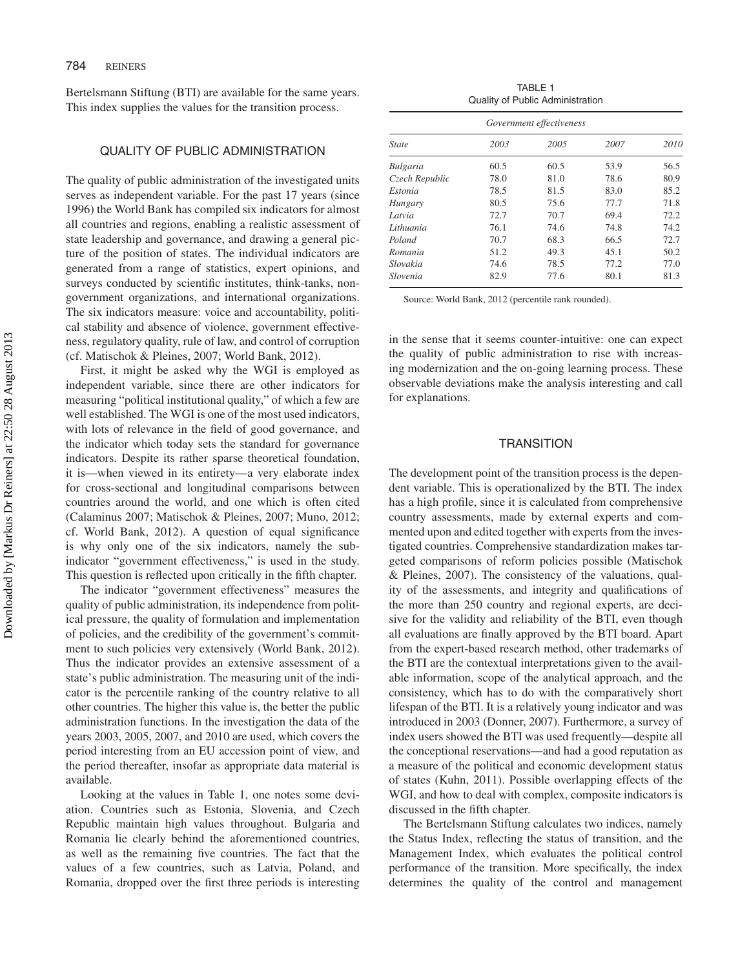Bertelsmann Stiftung (BTI) are available for the same years. This index supplies the values for the transition process.

## QUALITY OF PUBLIC ADMINISTRATION

The quality of public administration of the investigated units serves as independent variable. For the past 17 years (since 1996) the World Bank has compiled six indicators for almost all countries and regions, enabling a realistic assessment of state leadership and governance, and drawing a general picture of the position of states. The individual indicators are generated from a range of statistics, expert opinions, and surveys conducted by scientific institutes, think-tanks, nongovernment organizations, and international organizations. The six indicators measure: voice and accountability, political stability and absence of violence, government effectiveness, regulatory quality, rule of law, and control of corruption (cf. Matischok & Pleines, 2007; World Bank, 2012).

First, it might be asked why the WGI is employed as independent variable, since there are other indicators for measuring "political institutional quality," of which a few are well established. The WGI is one of the most used indicators, with lots of relevance in the field of good governance, and the indicator which today sets the standard for governance indicators. Despite its rather sparse theoretical foundation, it is—when viewed in its entirety—a very elaborate index for cross-sectional and longitudinal comparisons between countries around the world, and one which is often cited (Calaminus 2007; Matischok & Pleines, 2007; Muno, 2012; cf. World Bank, 2012). A question of equal significance is why only one of the six indicators, namely the subindicator "government effectiveness," is used in the study. This question is reflected upon critically in the fifth chapter.

The indicator "government effectiveness" measures the quality of public administration, its independence from political pressure, the quality of formulation and implementation of policies, and the credibility of the government's commitment to such policies very extensively (World Bank, 2012). Thus the indicator provides an extensive assessment of a state's public administration. The measuring unit of the indicator is the percentile ranking of the country relative to all other countries. The higher this value is, the better the public administration functions. In the investigation the data of the years 2003, 2005, 2007, and 2010 are used, which covers the period interesting from an EU accession point of view, and the period thereafter, insofar as appropriate data material is available.

Looking at the values in Table 1, one notes some deviation. Countries such as Estonia, Slovenia, and Czech Republic maintain high values throughout. Bulgaria and Romania lie clearly behind the aforementioned countries, as well as the remaining five countries. The fact that the values of a few countries, such as Latvia, Poland, and Romania, dropped over the first three periods is interesting

TABLE 1 Quality of Public Administration

| Government effectiveness |      |      |      |      |  |  |
|--------------------------|------|------|------|------|--|--|
| State                    | 2003 | 2005 | 2007 | 2010 |  |  |
| Bulgaria                 | 60.5 | 60.5 | 53.9 | 56.5 |  |  |
| Czech Republic           | 78.0 | 81.0 | 78.6 | 80.9 |  |  |
| Estonia                  | 78.5 | 81.5 | 83.0 | 85.2 |  |  |
| <b>Hungary</b>           | 80.5 | 75.6 | 77.7 | 71.8 |  |  |
| Latvia                   | 72.7 | 70.7 | 69.4 | 72.2 |  |  |
| Lithuania                | 76.1 | 74.6 | 74.8 | 74.2 |  |  |
| Poland                   | 70.7 | 68.3 | 66.5 | 72.7 |  |  |
| Romania                  | 51.2 | 49.3 | 45.1 | 50.2 |  |  |
| Slovakia                 | 74.6 | 78.5 | 77.2 | 77.0 |  |  |
| Slovenia                 | 82.9 | 77.6 | 80.1 | 81.3 |  |  |

Source: World Bank, 2012 (percentile rank rounded).

in the sense that it seems counter-intuitive: one can expect the quality of public administration to rise with increasing modernization and the on-going learning process. These observable deviations make the analysis interesting and call for explanations.

#### **TRANSITION**

The development point of the transition process is the dependent variable. This is operationalized by the BTI. The index has a high profile, since it is calculated from comprehensive country assessments, made by external experts and commented upon and edited together with experts from the investigated countries. Comprehensive standardization makes targeted comparisons of reform policies possible (Matischok & Pleines, 2007). The consistency of the valuations, quality of the assessments, and integrity and qualifications of the more than 250 country and regional experts, are decisive for the validity and reliability of the BTI, even though all evaluations are finally approved by the BTI board. Apart from the expert-based research method, other trademarks of the BTI are the contextual interpretations given to the available information, scope of the analytical approach, and the consistency, which has to do with the comparatively short lifespan of the BTI. It is a relatively young indicator and was introduced in 2003 (Donner, 2007). Furthermore, a survey of index users showed the BTI was used frequently—despite all the conceptional reservations—and had a good reputation as a measure of the political and economic development status of states (Kuhn, 2011). Possible overlapping effects of the WGI, and how to deal with complex, composite indicators is discussed in the fifth chapter.

The Bertelsmann Stiftung calculates two indices, namely the Status Index, reflecting the status of transition, and the Management Index, which evaluates the political control performance of the transition. More specifically, the index determines the quality of the control and management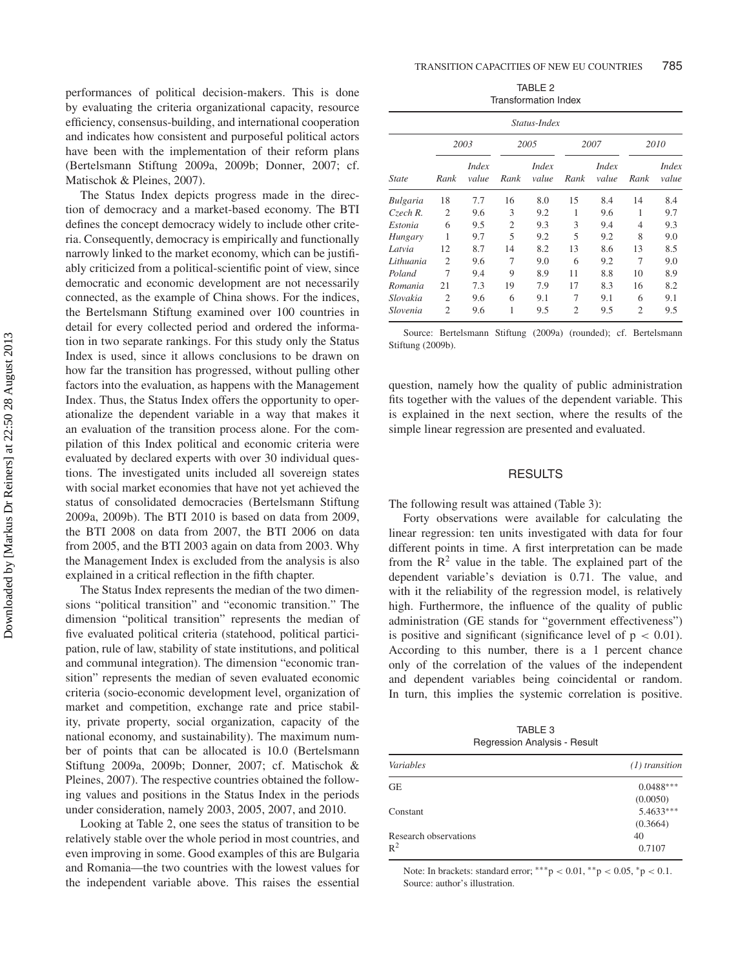Matischok & Pleines, 2007). The Status Index depicts progress made in the direction of democracy and a market-based economy. The BTI defines the concept democracy widely to include other criteria. Consequently, democracy is empirically and functionally narrowly linked to the market economy, which can be justifiably criticized from a political-scientific point of view, since democratic and economic development are not necessarily connected, as the example of China shows. For the indices, the Bertelsmann Stiftung examined over 100 countries in detail for every collected period and ordered the information in two separate rankings. For this study only the Status Index is used, since it allows conclusions to be drawn on how far the transition has progressed, without pulling other factors into the evaluation, as happens with the Management Index. Thus, the Status Index offers the opportunity to operationalize the dependent variable in a way that makes it an evaluation of the transition process alone. For the compilation of this Index political and economic criteria were evaluated by declared experts with over 30 individual questions. The investigated units included all sovereign states with social market economies that have not yet achieved the status of consolidated democracies (Bertelsmann Stiftung 2009a, 2009b). The BTI 2010 is based on data from 2009, the BTI 2008 on data from 2007, the BTI 2006 on data from 2005, and the BTI 2003 again on data from 2003. Why the Management Index is excluded from the analysis is also explained in a critical reflection in the fifth chapter.

performances of political decision-makers. This is done by evaluating the criteria organizational capacity, resource

The Status Index represents the median of the two dimensions "political transition" and "economic transition." The dimension "political transition" represents the median of five evaluated political criteria (statehood, political participation, rule of law, stability of state institutions, and political and communal integration). The dimension "economic transition" represents the median of seven evaluated economic criteria (socio-economic development level, organization of market and competition, exchange rate and price stability, private property, social organization, capacity of the national economy, and sustainability). The maximum number of points that can be allocated is 10.0 (Bertelsmann Stiftung 2009a, 2009b; Donner, 2007; cf. Matischok & Pleines, 2007). The respective countries obtained the following values and positions in the Status Index in the periods under consideration, namely 2003, 2005, 2007, and 2010.

Looking at Table 2, one sees the status of transition to be relatively stable over the whole period in most countries, and even improving in some. Good examples of this are Bulgaria and Romania—the two countries with the lowest values for the independent variable above. This raises the essential

TABLE 2 Transformation Index

| Status-Index |                |                       |                |                       |                |                       |                |                |
|--------------|----------------|-----------------------|----------------|-----------------------|----------------|-----------------------|----------------|----------------|
| State        | 2003           |                       | 2005           |                       | 2007           |                       | 2010           |                |
|              | Rank           | <i>Index</i><br>value | Rank           | <i>Index</i><br>value | Rank           | <i>Index</i><br>value | Rank           | Index<br>value |
| Bulgaria     | 18             | 7.7                   | 16             | 8.0                   | 15             | 8.4                   | 14             | 8.4            |
| Czech R.     | $\overline{2}$ | 9.6                   | 3              | 9.2                   | 1              | 9.6                   | 1              | 9.7            |
| Estonia      | 6              | 9.5                   | $\overline{2}$ | 9.3                   | 3              | 9.4                   | $\overline{4}$ | 9.3            |
| Hungary      | 1              | 9.7                   | 5              | 9.2                   | 5              | 9.2                   | 8              | 9.0            |
| Latvia       | 12             | 8.7                   | 14             | 8.2                   | 13             | 8.6                   | 13             | 8.5            |
| Lithuania    | $\overline{2}$ | 9.6                   | 7              | 9.0                   | 6              | 9.2                   | 7              | 9.0            |
| Poland       | 7              | 9.4                   | 9              | 8.9                   | 11             | 8.8                   | 10             | 8.9            |
| Romania      | 21             | 7.3                   | 19             | 7.9                   | 17             | 8.3                   | 16             | 8.2            |
| Slovakia     | $\overline{2}$ | 9.6                   | 6              | 9.1                   | 7              | 9.1                   | 6              | 9.1            |
| Slovenia     | $\overline{c}$ | 9.6                   | 1              | 9.5                   | $\overline{c}$ | 9.5                   | $\overline{2}$ | 9.5            |

Source: Bertelsmann Stiftung (2009a) (rounded); cf. Bertelsmann Stiftung (2009b).

question, namely how the quality of public administration fits together with the values of the dependent variable. This is explained in the next section, where the results of the simple linear regression are presented and evaluated.

#### RESULTS

The following result was attained (Table 3):

Forty observations were available for calculating the linear regression: ten units investigated with data for four different points in time. A first interpretation can be made from the  $\mathbb{R}^2$  value in the table. The explained part of the dependent variable's deviation is 0.71. The value, and with it the reliability of the regression model, is relatively high. Furthermore, the influence of the quality of public administration (GE stands for "government effectiveness") is positive and significant (significance level of  $p < 0.01$ ). According to this number, there is a 1 percent chance only of the correlation of the values of the independent and dependent variables being coincidental or random. In turn, this implies the systemic correlation is positive.

TABLE 3 Regression Analysis - Result

| Variables             | $(1)$ transition |
|-----------------------|------------------|
| GE                    | $0.0488***$      |
|                       | (0.0050)         |
| Constant              | 5.4633***        |
|                       | (0.3664)         |
| Research observations | 40               |
| $R^2$                 | 0.7107           |
|                       |                  |

Note: In brackets: standard error; ∗∗∗p *<* 0.01, ∗∗p *<* 0.05, ∗p *<* 0.1. Source: author's illustration.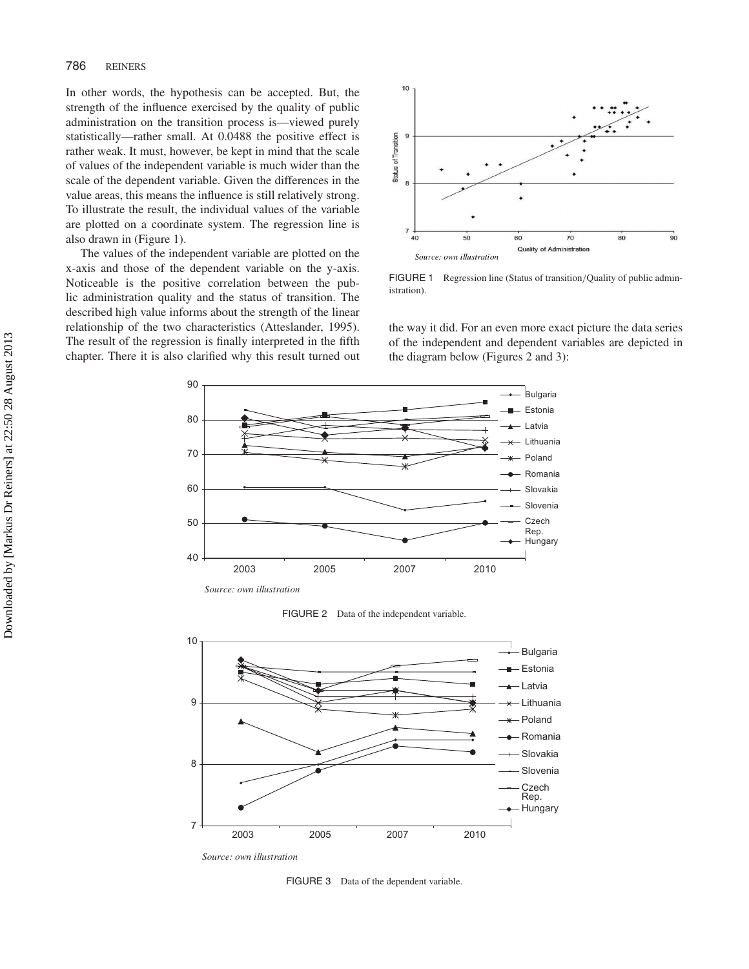In other words, the hypothesis can be accepted. But, the strength of the influence exercised by the quality of public administration on the transition process is—viewed purely statistically—rather small. At 0.0488 the positive effect is rather weak. It must, however, be kept in mind that the scale of values of the independent variable is much wider than the scale of the dependent variable. Given the differences in the value areas, this means the influence is still relatively strong. To illustrate the result, the individual values of the variable are plotted on a coordinate system. The regression line is also drawn in (Figure 1).

The values of the independent variable are plotted on the x-axis and those of the dependent variable on the y-axis. Noticeable is the positive correlation between the public administration quality and the status of transition. The described high value informs about the strength of the linear relationship of the two characteristics (Atteslander, 1995). The result of the regression is finally interpreted in the fifth chapter. There it is also clarified why this result turned out



FIGURE 1 Regression line (Status of transition*/*Quality of public administration)

the way it did. For an even more exact picture the data series of the independent and dependent variables are depicted in the diagram below (Figures 2 and 3):



FIGURE 2 Data of the independent variable.



*Source: own illustration*

FIGURE 3 Data of the dependent variable.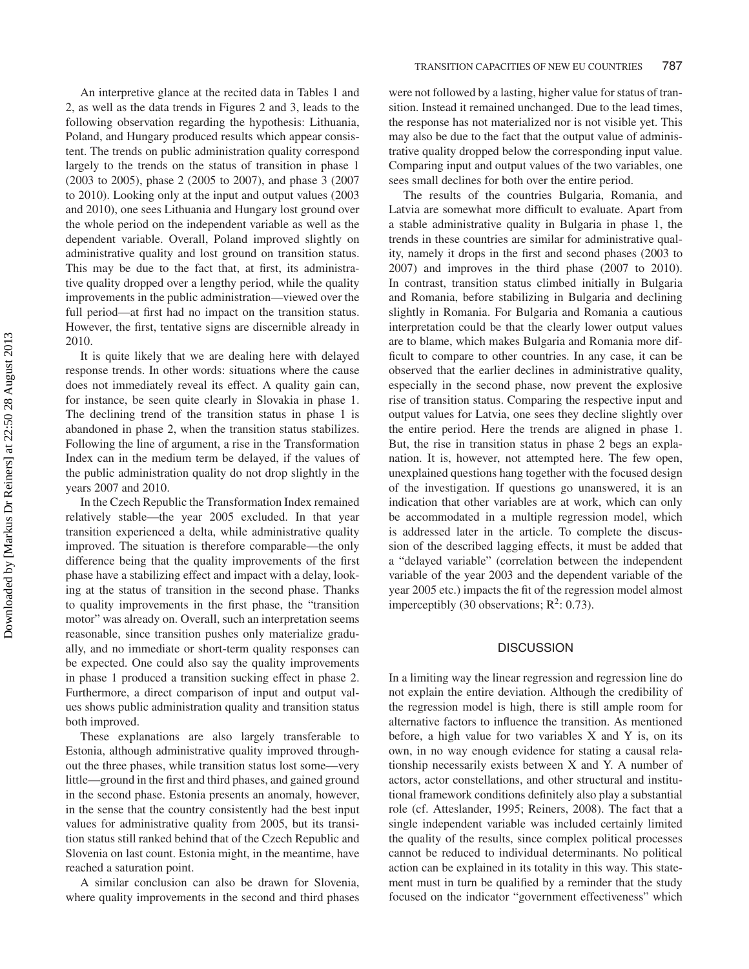An interpretive glance at the recited data in Tables 1 and 2, as well as the data trends in Figures 2 and 3, leads to the following observation regarding the hypothesis: Lithuania, Poland, and Hungary produced results which appear consistent. The trends on public administration quality correspond largely to the trends on the status of transition in phase 1 (2003 to 2005), phase 2 (2005 to 2007), and phase 3 (2007 to 2010). Looking only at the input and output values (2003 and 2010), one sees Lithuania and Hungary lost ground over the whole period on the independent variable as well as the dependent variable. Overall, Poland improved slightly on administrative quality and lost ground on transition status. This may be due to the fact that, at first, its administrative quality dropped over a lengthy period, while the quality improvements in the public administration—viewed over the full period—at first had no impact on the transition status. However, the first, tentative signs are discernible already in 2010.

It is quite likely that we are dealing here with delayed response trends. In other words: situations where the cause does not immediately reveal its effect. A quality gain can, for instance, be seen quite clearly in Slovakia in phase 1. The declining trend of the transition status in phase 1 is abandoned in phase 2, when the transition status stabilizes. Following the line of argument, a rise in the Transformation Index can in the medium term be delayed, if the values of the public administration quality do not drop slightly in the years 2007 and 2010.

In the Czech Republic the Transformation Index remained relatively stable—the year 2005 excluded. In that year transition experienced a delta, while administrative quality improved. The situation is therefore comparable—the only difference being that the quality improvements of the first phase have a stabilizing effect and impact with a delay, looking at the status of transition in the second phase. Thanks to quality improvements in the first phase, the "transition motor" was already on. Overall, such an interpretation seems reasonable, since transition pushes only materialize gradually, and no immediate or short-term quality responses can be expected. One could also say the quality improvements in phase 1 produced a transition sucking effect in phase 2. Furthermore, a direct comparison of input and output values shows public administration quality and transition status both improved.

These explanations are also largely transferable to Estonia, although administrative quality improved throughout the three phases, while transition status lost some—very little—ground in the first and third phases, and gained ground in the second phase. Estonia presents an anomaly, however, in the sense that the country consistently had the best input values for administrative quality from 2005, but its transition status still ranked behind that of the Czech Republic and Slovenia on last count. Estonia might, in the meantime, have reached a saturation point.

A similar conclusion can also be drawn for Slovenia, where quality improvements in the second and third phases were not followed by a lasting, higher value for status of transition. Instead it remained unchanged. Due to the lead times, the response has not materialized nor is not visible yet. This may also be due to the fact that the output value of administrative quality dropped below the corresponding input value. Comparing input and output values of the two variables, one sees small declines for both over the entire period.

The results of the countries Bulgaria, Romania, and Latvia are somewhat more difficult to evaluate. Apart from a stable administrative quality in Bulgaria in phase 1, the trends in these countries are similar for administrative quality, namely it drops in the first and second phases (2003 to 2007) and improves in the third phase (2007 to 2010). In contrast, transition status climbed initially in Bulgaria and Romania, before stabilizing in Bulgaria and declining slightly in Romania. For Bulgaria and Romania a cautious interpretation could be that the clearly lower output values are to blame, which makes Bulgaria and Romania more difficult to compare to other countries. In any case, it can be observed that the earlier declines in administrative quality, especially in the second phase, now prevent the explosive rise of transition status. Comparing the respective input and output values for Latvia, one sees they decline slightly over the entire period. Here the trends are aligned in phase 1. But, the rise in transition status in phase 2 begs an explanation. It is, however, not attempted here. The few open, unexplained questions hang together with the focused design of the investigation. If questions go unanswered, it is an indication that other variables are at work, which can only be accommodated in a multiple regression model, which is addressed later in the article. To complete the discussion of the described lagging effects, it must be added that a "delayed variable" (correlation between the independent variable of the year 2003 and the dependent variable of the year 2005 etc.) impacts the fit of the regression model almost imperceptibly (30 observations;  $R^2$ : 0.73).

#### **DISCUSSION**

In a limiting way the linear regression and regression line do not explain the entire deviation. Although the credibility of the regression model is high, there is still ample room for alternative factors to influence the transition. As mentioned before, a high value for two variables X and Y is, on its own, in no way enough evidence for stating a causal relationship necessarily exists between X and Y. A number of actors, actor constellations, and other structural and institutional framework conditions definitely also play a substantial role (cf. Atteslander, 1995; Reiners, 2008). The fact that a single independent variable was included certainly limited the quality of the results, since complex political processes cannot be reduced to individual determinants. No political action can be explained in its totality in this way. This statement must in turn be qualified by a reminder that the study focused on the indicator "government effectiveness" which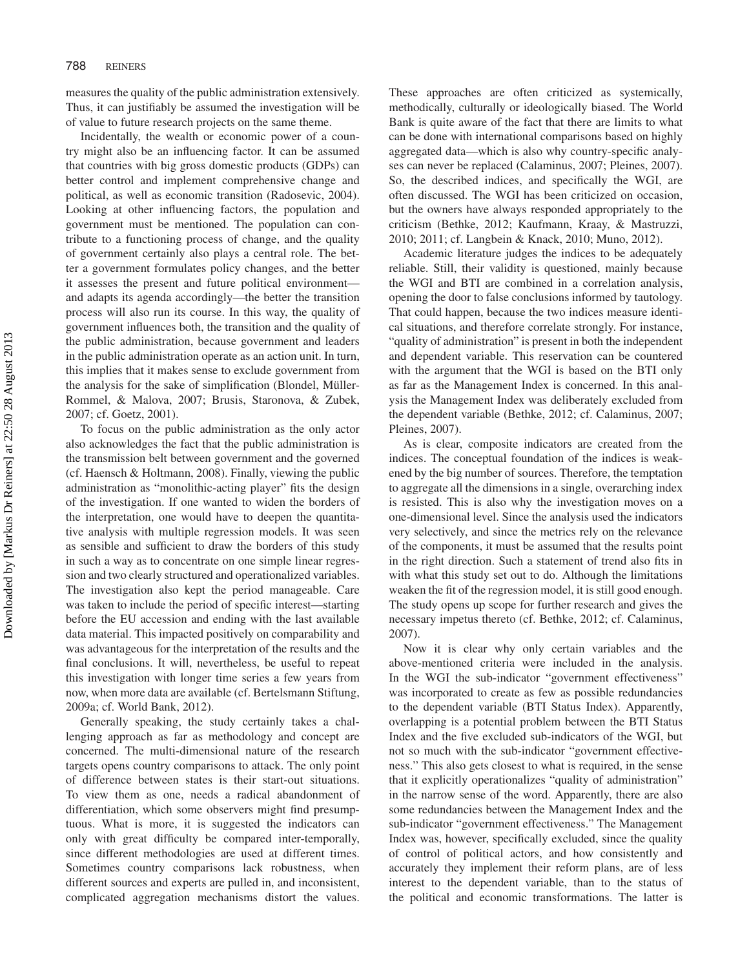measures the quality of the public administration extensively. Thus, it can justifiably be assumed the investigation will be of value to future research projects on the same theme.

Incidentally, the wealth or economic power of a country might also be an influencing factor. It can be assumed that countries with big gross domestic products (GDPs) can better control and implement comprehensive change and political, as well as economic transition (Radosevic, 2004). Looking at other influencing factors, the population and government must be mentioned. The population can contribute to a functioning process of change, and the quality of government certainly also plays a central role. The better a government formulates policy changes, and the better it assesses the present and future political environment and adapts its agenda accordingly—the better the transition process will also run its course. In this way, the quality of government influences both, the transition and the quality of the public administration, because government and leaders in the public administration operate as an action unit. In turn, this implies that it makes sense to exclude government from the analysis for the sake of simplification (Blondel, Müller-Rommel, & Malova, 2007; Brusis, Staronova, & Zubek, 2007; cf. Goetz, 2001).

To focus on the public administration as the only actor also acknowledges the fact that the public administration is the transmission belt between government and the governed (cf. Haensch & Holtmann, 2008). Finally, viewing the public administration as "monolithic-acting player" fits the design of the investigation. If one wanted to widen the borders of the interpretation, one would have to deepen the quantitative analysis with multiple regression models. It was seen as sensible and sufficient to draw the borders of this study in such a way as to concentrate on one simple linear regression and two clearly structured and operationalized variables. The investigation also kept the period manageable. Care was taken to include the period of specific interest—starting before the EU accession and ending with the last available data material. This impacted positively on comparability and was advantageous for the interpretation of the results and the final conclusions. It will, nevertheless, be useful to repeat this investigation with longer time series a few years from now, when more data are available (cf. Bertelsmann Stiftung, 2009a; cf. World Bank, 2012).

Generally speaking, the study certainly takes a challenging approach as far as methodology and concept are concerned. The multi-dimensional nature of the research targets opens country comparisons to attack. The only point of difference between states is their start-out situations. To view them as one, needs a radical abandonment of differentiation, which some observers might find presumptuous. What is more, it is suggested the indicators can only with great difficulty be compared inter-temporally, since different methodologies are used at different times. Sometimes country comparisons lack robustness, when different sources and experts are pulled in, and inconsistent, complicated aggregation mechanisms distort the values.

These approaches are often criticized as systemically, methodically, culturally or ideologically biased. The World Bank is quite aware of the fact that there are limits to what can be done with international comparisons based on highly aggregated data—which is also why country-specific analyses can never be replaced (Calaminus, 2007; Pleines, 2007). So, the described indices, and specifically the WGI, are often discussed. The WGI has been criticized on occasion, but the owners have always responded appropriately to the criticism (Bethke, 2012; Kaufmann, Kraay, & Mastruzzi, 2010; 2011; cf. Langbein & Knack, 2010; Muno, 2012).

Academic literature judges the indices to be adequately reliable. Still, their validity is questioned, mainly because the WGI and BTI are combined in a correlation analysis, opening the door to false conclusions informed by tautology. That could happen, because the two indices measure identical situations, and therefore correlate strongly. For instance, "quality of administration" is present in both the independent and dependent variable. This reservation can be countered with the argument that the WGI is based on the BTI only as far as the Management Index is concerned. In this analysis the Management Index was deliberately excluded from the dependent variable (Bethke, 2012; cf. Calaminus, 2007; Pleines, 2007).

As is clear, composite indicators are created from the indices. The conceptual foundation of the indices is weakened by the big number of sources. Therefore, the temptation to aggregate all the dimensions in a single, overarching index is resisted. This is also why the investigation moves on a one-dimensional level. Since the analysis used the indicators very selectively, and since the metrics rely on the relevance of the components, it must be assumed that the results point in the right direction. Such a statement of trend also fits in with what this study set out to do. Although the limitations weaken the fit of the regression model, it is still good enough. The study opens up scope for further research and gives the necessary impetus thereto (cf. Bethke, 2012; cf. Calaminus, 2007).

Now it is clear why only certain variables and the above-mentioned criteria were included in the analysis. In the WGI the sub-indicator "government effectiveness" was incorporated to create as few as possible redundancies to the dependent variable (BTI Status Index). Apparently, overlapping is a potential problem between the BTI Status Index and the five excluded sub-indicators of the WGI, but not so much with the sub-indicator "government effectiveness." This also gets closest to what is required, in the sense that it explicitly operationalizes "quality of administration" in the narrow sense of the word. Apparently, there are also some redundancies between the Management Index and the sub-indicator "government effectiveness." The Management Index was, however, specifically excluded, since the quality of control of political actors, and how consistently and accurately they implement their reform plans, are of less interest to the dependent variable, than to the status of the political and economic transformations. The latter is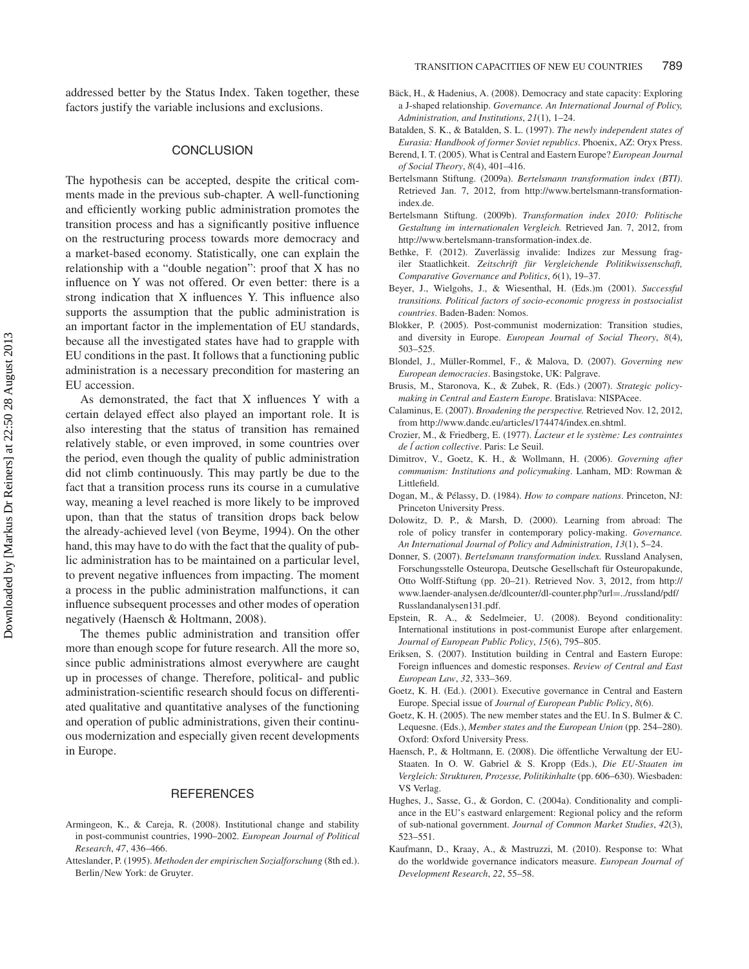addressed better by the Status Index. Taken together, these factors justify the variable inclusions and exclusions.

#### **CONCLUSION**

The hypothesis can be accepted, despite the critical comments made in the previous sub-chapter. A well-functioning and efficiently working public administration promotes the transition process and has a significantly positive influence on the restructuring process towards more democracy and a market-based economy. Statistically, one can explain the relationship with a "double negation": proof that X has no influence on Y was not offered. Or even better: there is a strong indication that X influences Y. This influence also supports the assumption that the public administration is an important factor in the implementation of EU standards, because all the investigated states have had to grapple with EU conditions in the past. It follows that a functioning public administration is a necessary precondition for mastering an EU accession.

As demonstrated, the fact that X influences Y with a certain delayed effect also played an important role. It is also interesting that the status of transition has remained relatively stable, or even improved, in some countries over the period, even though the quality of public administration did not climb continuously. This may partly be due to the fact that a transition process runs its course in a cumulative way, meaning a level reached is more likely to be improved upon, than that the status of transition drops back below the already-achieved level (von Beyme, 1994). On the other hand, this may have to do with the fact that the quality of public administration has to be maintained on a particular level, to prevent negative influences from impacting. The moment a process in the public administration malfunctions, it can influence subsequent processes and other modes of operation negatively (Haensch & Holtmann, 2008).

The themes public administration and transition offer more than enough scope for future research. All the more so, since public administrations almost everywhere are caught up in processes of change. Therefore, political- and public administration-scientific research should focus on differentiated qualitative and quantitative analyses of the functioning and operation of public administrations, given their continuous modernization and especially given recent developments in Europe.

#### **REFERENCES**

- Armingeon, K., & Careja, R. (2008). Institutional change and stability in post-communist countries, 1990–2002. *European Journal of Political Research*, *47*, 436–466.
- Atteslander, P. (1995). *Methoden der empirischen Sozialforschung* (8th ed.). Berlin*/*New York: de Gruyter.
- Bäck, H., & Hadenius, A. (2008). Democracy and state capacity: Exploring a J-shaped relationship. *Governance. An International Journal of Policy, Administration, and Institutions*, *21*(1), 1–24.
- Batalden, S. K., & Batalden, S. L. (1997). *The newly independent states of Eurasia: Handbook of former Soviet republics*. Phoenix, AZ: Oryx Press.
- Berend, I. T. (2005). What is Central and Eastern Europe? *European Journal of Social Theory*, *8*(4), 401–416.
- Bertelsmann Stiftung. (2009a). *Bertelsmann transformation index (BTI)*. Retrieved Jan. 7, 2012, from http://www.bertelsmann-transformationindex.de.
- Bertelsmann Stiftung. (2009b). *Transformation index 2010: Politische Gestaltung im internationalen Vergleich.* Retrieved Jan. 7, 2012, from http://www.bertelsmann-transformation-index.de.
- Bethke, F. (2012). Zuverlässig invalide: Indizes zur Messung fragiler Staatlichkeit. *Zeitschrift für Vergleichende Politikwissenschaft, Comparative Governance and Politics*, *6*(1), 19–37.
- Beyer, J., Wielgohs, J., & Wiesenthal, H. (Eds.)m (2001). *Successful transitions. Political factors of socio-economic progress in postsocialist countries*. Baden-Baden: Nomos.
- Blokker, P. (2005). Post-communist modernization: Transition studies, and diversity in Europe. *European Journal of Social Theory*, *8*(4), 503–525.
- Blondel, J., Müller-Rommel, F., & Malova, D. (2007). *Governing new European democracies*. Basingstoke, UK: Palgrave.
- Brusis, M., Staronova, K., & Zubek, R. (Eds.) (2007). *Strategic policymaking in Central and Eastern Europe*. Bratislava: NISPAcee.
- Calaminus, E. (2007). *Broadening the perspective.* Retrieved Nov. 12, 2012, from http://www.dandc.eu/articles/174474/index.en.shtml.
- Crozier, M., & Friedberg, E. (1977). *Lacteur et le système: Les contraintes ´ de ´l action collective*. Paris: Le Seuil.
- Dimitrov, V., Goetz, K. H., & Wollmann, H. (2006). *Governing after communism: Institutions and policymaking*. Lanham, MD: Rowman & Littlefield.
- Dogan, M., & Pélassy, D. (1984). *How to compare nations*. Princeton, NJ: Princeton University Press.
- Dolowitz, D. P., & Marsh, D. (2000). Learning from abroad: The role of policy transfer in contemporary policy-making. *Governance. An International Journal of Policy and Administration*, *13*(1), 5–24.
- Donner, S. (2007). *Bertelsmann transformation index.* Russland Analysen, Forschungsstelle Osteuropa, Deutsche Gesellschaft für Osteuropakunde, Otto Wolff-Stiftung (pp. 20–21). Retrieved Nov. 3, 2012, from http:// www.laender-analysen.de/dlcounter/dl-counter.php?url=../russland/pdf/ Russlandanalysen131.pdf.
- Epstein, R. A., & Sedelmeier, U. (2008). Beyond conditionality: International institutions in post-communist Europe after enlargement. *Journal of European Public Policy*, *15*(6), 795–805.
- Eriksen, S. (2007). Institution building in Central and Eastern Europe: Foreign influences and domestic responses. *Review of Central and East European Law*, *32*, 333–369.
- Goetz, K. H. (Ed.). (2001). Executive governance in Central and Eastern Europe. Special issue of *Journal of European Public Policy*, *8*(6).
- Goetz, K. H. (2005). The new member states and the EU. In S. Bulmer & C. Lequesne. (Eds.), *Member states and the European Union* (pp. 254–280). Oxford: Oxford University Press.
- Haensch, P., & Holtmann, E. (2008). Die öffentliche Verwaltung der EU-Staaten. In O. W. Gabriel & S. Kropp (Eds.), *Die EU-Staaten im Vergleich: Strukturen, Prozesse, Politikinhalte* (pp. 606–630). Wiesbaden: VS Verlag.
- Hughes, J., Sasse, G., & Gordon, C. (2004a). Conditionality and compliance in the EU's eastward enlargement: Regional policy and the reform of sub-national government. *Journal of Common Market Studies*, *42*(3), 523–551.
- Kaufmann, D., Kraay, A., & Mastruzzi, M. (2010). Response to: What do the worldwide governance indicators measure. *European Journal of Development Research*, *22*, 55–58.